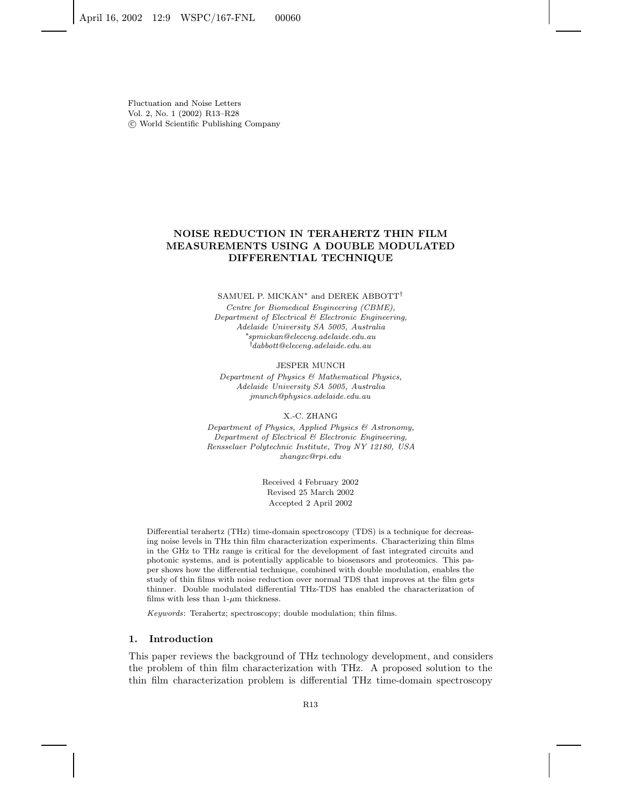# **NOISE REDUCTION IN TERAHERTZ THIN FILM MEASUREMENTS USING A DOUBLE MODULATED DIFFERENTIAL TECHNIQUE**

#### SAMUEL P. MICKAN<sup>\*</sup> and DEREK ABBOTT<sup>†</sup>

Centre for Biomedical Engineering (CBME), Department of Electrical & Electronic Engineering, Adelaide University SA 5005, Australia ∗spmickan@eleceng.adelaide.edu.au  $^\dagger$ dabbott@eleceng.adelaide.edu.au

#### JESPER MUNCH

Department of Physics & Mathematical Physics, Adelaide University SA 5005, Australia jmunch@physics.adelaide.edu.au

#### X.-C. ZHANG

Department of Physics, Applied Physics & Astronomy, Department of Electrical & Electronic Engineering, Rensselaer Polytechnic Institute, Troy NY 12180, USA zhangxc@rpi.edu

> Received 4 February 2002 Revised 25 March 2002 Accepted 2 April 2002

Differential terahertz (THz) time-domain spectroscopy (TDS) is a technique for decreasing noise levels in THz thin film characterization experiments. Characterizing thin films in the GHz to THz range is critical for the development of fast integrated circuits and photonic systems, and is potentially applicable to biosensors and proteomics. This paper shows how the differential technique, combined with double modulation, enables the study of thin films with noise reduction over normal TDS that improves at the film gets thinner. Double modulated differential THz-TDS has enabled the characterization of films with less than  $1-\mu m$  thickness.

Keywords: Terahertz; spectroscopy; double modulation; thin films.

# **1. Introduction**

This paper reviews the background of THz technology development, and considers the problem of thin film characterization with THz. A proposed solution to the thin film characterization problem is differential THz time-domain spectroscopy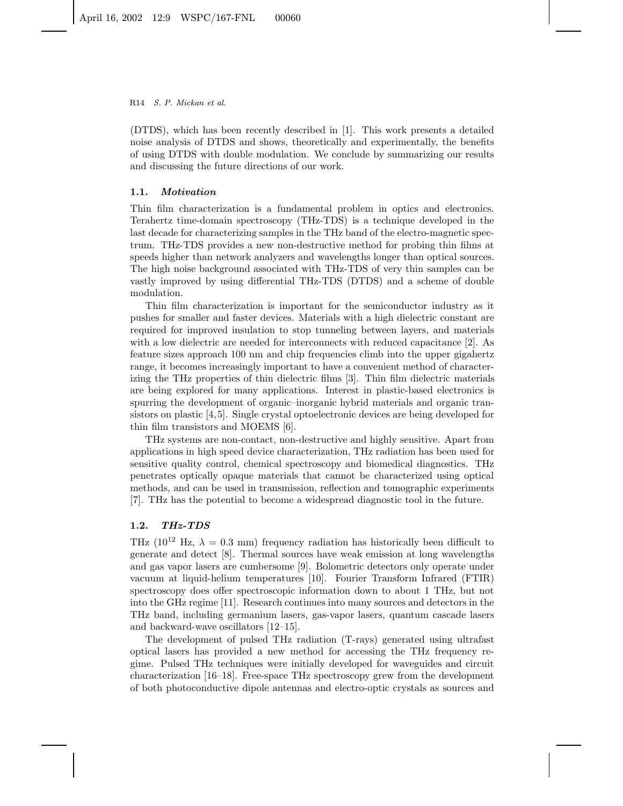R14 S. P. Mickan et al.

(DTDS), which has been recently described in [1]. This work presents a detailed noise analysis of DTDS and shows, theoretically and experimentally, the benefits of using DTDS with double modulation. We conclude by summarizing our results and discussing the future directions of our work.

# **1.1.** *Motivation*

Thin film characterization is a fundamental problem in optics and electronics. Terahertz time-domain spectroscopy (THz-TDS) is a technique developed in the last decade for characterizing samples in the THz band of the electro-magnetic spectrum. THz-TDS provides a new non-destructive method for probing thin films at speeds higher than network analyzers and wavelengths longer than optical sources. The high noise background associated with THz-TDS of very thin samples can be vastly improved by using differential THz-TDS (DTDS) and a scheme of double modulation.

Thin film characterization is important for the semiconductor industry as it pushes for smaller and faster devices. Materials with a high dielectric constant are required for improved insulation to stop tunneling between layers, and materials with a low dielectric are needed for interconnects with reduced capacitance [2]. As feature sizes approach 100 nm and chip frequencies climb into the upper gigahertz range, it becomes increasingly important to have a convenient method of characterizing the THz properties of thin dielectric films [3]. Thin film dielectric materials are being explored for many applications. Interest in plastic-based electronics is spurring the development of organic–inorganic hybrid materials and organic transistors on plastic [4,5]. Single crystal optoelectronic devices are being developed for thin film transistors and MOEMS [6].

THz systems are non-contact, non-destructive and highly sensitive. Apart from applications in high speed device characterization, THz radiation has been used for sensitive quality control, chemical spectroscopy and biomedical diagnostics. THz penetrates optically opaque materials that cannot be characterized using optical methods, and can be used in transmission, reflection and tomographic experiments [7]. THz has the potential to become a widespread diagnostic tool in the future.

# **1.2.** *THz-TDS*

THz ( $10^{12}$  Hz,  $\lambda = 0.3$  mm) frequency radiation has historically been difficult to generate and detect [8]. Thermal sources have weak emission at long wavelengths and gas vapor lasers are cumbersome [9]. Bolometric detectors only operate under vacuum at liquid-helium temperatures [10]. Fourier Transform Infrared (FTIR) spectroscopy does offer spectroscopic information down to about 1 THz, but not into the GHz regime [11]. Research continues into many sources and detectors in the THz band, including germanium lasers, gas-vapor lasers, quantum cascade lasers and backward-wave oscillators [12–15].

The development of pulsed THz radiation (T-rays) generated using ultrafast optical lasers has provided a new method for accessing the THz frequency regime. Pulsed THz techniques were initially developed for waveguides and circuit characterization [16–18]. Free-space THz spectroscopy grew from the development of both photoconductive dipole antennas and electro-optic crystals as sources and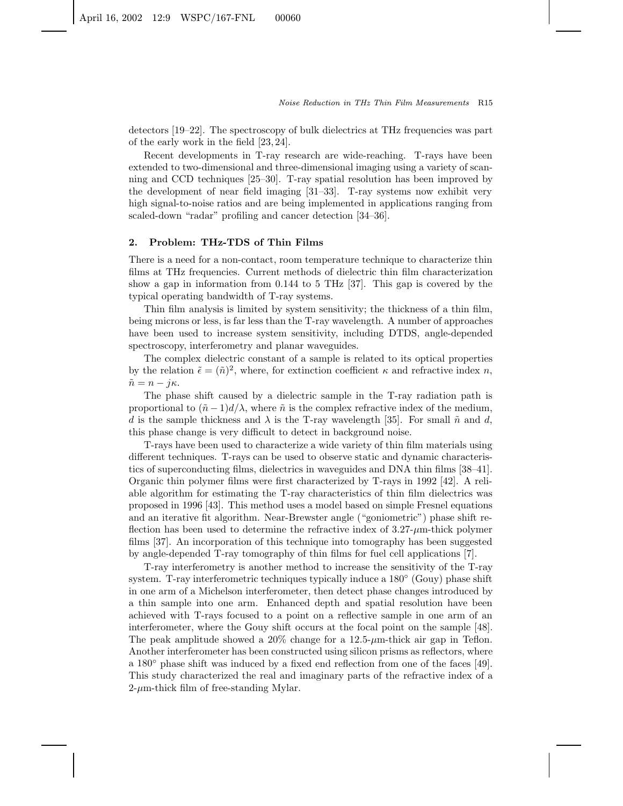detectors [19–22]. The spectroscopy of bulk dielectrics at THz frequencies was part of the early work in the field [23, 24].

Recent developments in T-ray research are wide-reaching. T-rays have been extended to two-dimensional and three-dimensional imaging using a variety of scanning and CCD techniques [25–30]. T-ray spatial resolution has been improved by the development of near field imaging [31–33]. T-ray systems now exhibit very high signal-to-noise ratios and are being implemented in applications ranging from scaled-down "radar" profiling and cancer detection [34–36].

# **2. Problem: THz-TDS of Thin Films**

There is a need for a non-contact, room temperature technique to characterize thin films at THz frequencies. Current methods of dielectric thin film characterization show a gap in information from 0.144 to 5 THz [37]. This gap is covered by the typical operating bandwidth of T-ray systems.

Thin film analysis is limited by system sensitivity; the thickness of a thin film, being microns or less, is far less than the T-ray wavelength. A number of approaches have been used to increase system sensitivity, including DTDS, angle-depended spectroscopy, interferometry and planar waveguides.

The complex dielectric constant of a sample is related to its optical properties by the relation  $\tilde{\epsilon}=(\tilde{n})^2$ , where, for extinction coefficient  $\kappa$  and refractive index n,  $\tilde{n} = n - i\kappa.$ 

The phase shift caused by a dielectric sample in the T-ray radiation path is proportional to  $(\tilde{n} - 1)d/\lambda$ , where  $\tilde{n}$  is the complex refractive index of the medium, d is the sample thickness and  $\lambda$  is the T-ray wavelength [35]. For small  $\tilde{n}$  and d, this phase change is very difficult to detect in background noise.

T-rays have been used to characterize a wide variety of thin film materials using different techniques. T-rays can be used to observe static and dynamic characteristics of superconducting films, dielectrics in waveguides and DNA thin films [38–41]. Organic thin polymer films were first characterized by T-rays in 1992 [42]. A reliable algorithm for estimating the T-ray characteristics of thin film dielectrics was proposed in 1996 [43]. This method uses a model based on simple Fresnel equations and an iterative fit algorithm. Near-Brewster angle ("goniometric") phase shift reflection has been used to determine the refractive index of  $3.27-\mu m$ -thick polymer films [37]. An incorporation of this technique into tomography has been suggested by angle-depended T-ray tomography of thin films for fuel cell applications [7].

T-ray interferometry is another method to increase the sensitivity of the T-ray system. T-ray interferometric techniques typically induce a 180 $\degree$  (Gouy) phase shift in one arm of a Michelson interferometer, then detect phase changes introduced by a thin sample into one arm. Enhanced depth and spatial resolution have been achieved with T-rays focused to a point on a reflective sample in one arm of an interferometer, where the Gouy shift occurs at the focal point on the sample [48]. The peak amplitude showed a  $20\%$  change for a  $12.5$ - $\mu$ m-thick air gap in Teflon. Another interferometer has been constructed using silicon prisms as reflectors, where a 180◦ phase shift was induced by a fixed end reflection from one of the faces [49]. This study characterized the real and imaginary parts of the refractive index of a  $2-\mu$ m-thick film of free-standing Mylar.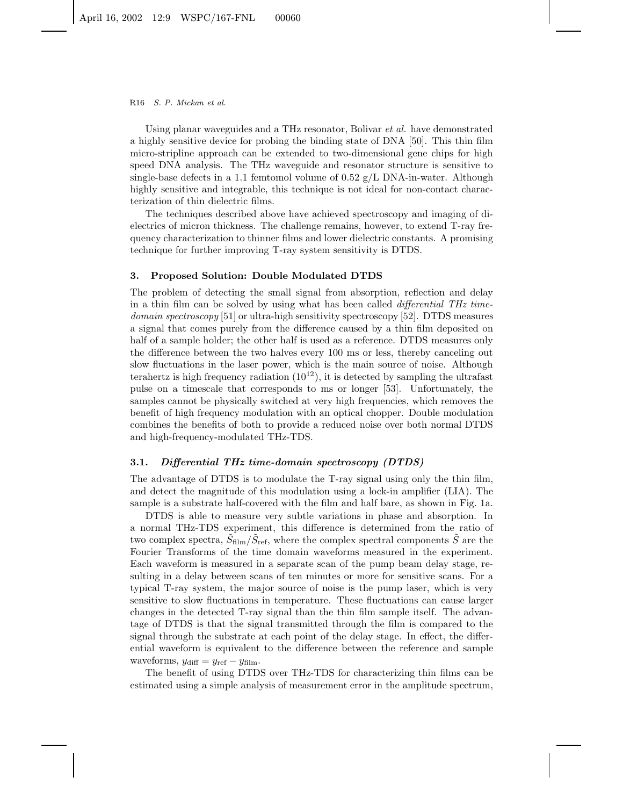#### R16 S. P. Mickan et al.

Using planar waveguides and a THz resonator, Bolivar *et al.* have demonstrated a highly sensitive device for probing the binding state of DNA [50]. This thin film micro-stripline approach can be extended to two-dimensional gene chips for high speed DNA analysis. The THz waveguide and resonator structure is sensitive to single-base defects in a 1.1 femtomol volume of  $0.52$  g/L DNA-in-water. Although highly sensitive and integrable, this technique is not ideal for non-contact characterization of thin dielectric films.

The techniques described above have achieved spectroscopy and imaging of dielectrics of micron thickness. The challenge remains, however, to extend T-ray frequency characterization to thinner films and lower dielectric constants. A promising technique for further improving T-ray system sensitivity is DTDS.

### **3. Proposed Solution: Double Modulated DTDS**

The problem of detecting the small signal from absorption, reflection and delay in a thin film can be solved by using what has been called *differential THz timedomain spectroscopy* [51] or ultra-high sensitivity spectroscopy [52]. DTDS measures a signal that comes purely from the difference caused by a thin film deposited on half of a sample holder; the other half is used as a reference. DTDS measures only the difference between the two halves every 100 ms or less, thereby canceling out slow fluctuations in the laser power, which is the main source of noise. Although terahertz is high frequency radiation  $(10^{12})$ , it is detected by sampling the ultrafast pulse on a timescale that corresponds to ms or longer [53]. Unfortunately, the samples cannot be physically switched at very high frequencies, which removes the benefit of high frequency modulation with an optical chopper. Double modulation combines the benefits of both to provide a reduced noise over both normal DTDS and high-frequency-modulated THz-TDS.

#### **3.1.** *Differential THz time-domain spectroscopy (DTDS)*

The advantage of DTDS is to modulate the T-ray signal using only the thin film, and detect the magnitude of this modulation using a lock-in amplifier (LIA). The sample is a substrate half-covered with the film and half bare, as shown in Fig. 1a.

DTDS is able to measure very subtle variations in phase and absorption. In a normal THz-TDS experiment, this difference is determined from the ratio of two complex spectra,  $\hat{S}_{\text{film}}/\hat{S}_{\text{ref}}$ , where the complex spectral components  $\hat{S}$  are the Fourier Transforms of the time domain waveforms measured in the experiment. Each waveform is measured in a separate scan of the pump beam delay stage, resulting in a delay between scans of ten minutes or more for sensitive scans. For a typical T-ray system, the major source of noise is the pump laser, which is very sensitive to slow fluctuations in temperature. These fluctuations can cause larger changes in the detected T-ray signal than the thin film sample itself. The advantage of DTDS is that the signal transmitted through the film is compared to the signal through the substrate at each point of the delay stage. In effect, the differential waveform is equivalent to the difference between the reference and sample waveforms,  $y_{\text{diff}} = y_{\text{ref}} - y_{\text{film}}$ .

The benefit of using DTDS over THz-TDS for characterizing thin films can be estimated using a simple analysis of measurement error in the amplitude spectrum,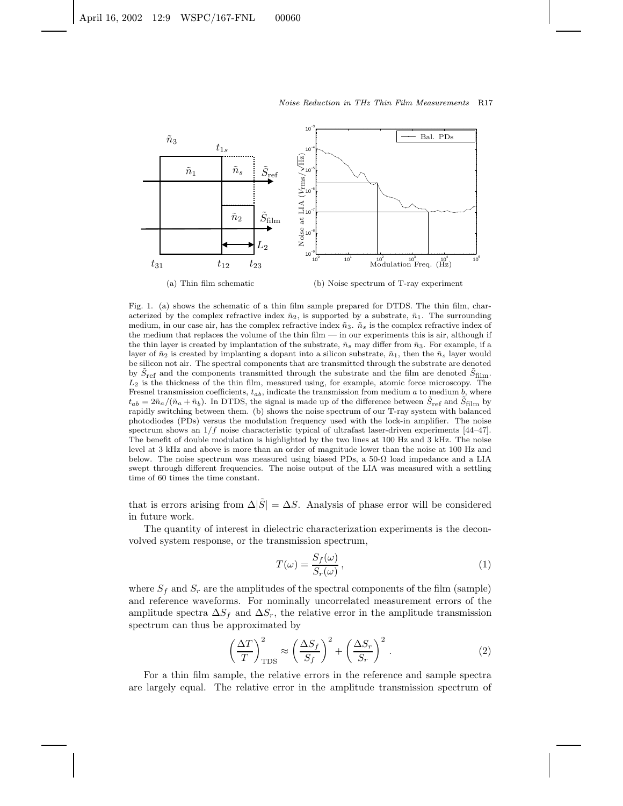

Fig. 1. (a) shows the schematic of a thin film sample prepared for DTDS. The thin film, characterized by the complex refractive index  $\tilde{n}_2$ , is supported by a substrate,  $\tilde{n}_1$ . The surrounding medium, in our case air, has the complex refractive index  $\tilde{n}_3$ .  $\tilde{n}_s$  is the complex refractive index of the medium that replaces the volume of the thin film — in our experiments this is air, although if the thin layer is created by implantation of the substrate,  $\tilde{n}_s$  may differ from  $\tilde{n}_3$ . For example, if a layer of  $\tilde{n}_2$  is created by implanting a dopant into a silicon substrate,  $\tilde{n}_1$ , then the  $\tilde{n}_s$  layer would be silicon not air. The spectral components that are transmitted through the substrate are denoted by  $\tilde{S}_{\text{ref}}$  and the components transmitted through the substrate and the film are denoted  $\tilde{S}_{\text{film}}$ .  $L_2$  is the thickness of the thin film, measured using, for example, atomic force microscopy. The Fresnel transmission coefficients,  $t_{ab}$ , indicate the transmission from medium a to medium b, where  $t_{ab} = 2\tilde{n}_a/(\tilde{n}_a + \tilde{n}_b)$ . In DTDS, the signal is made up of the difference between  $\tilde{S}_{\text{ref}}$  and  $\tilde{S}_{\text{film}}$  by rapidly switching between them. (b) shows the noise spectrum of our T-ray system with balanced photodiodes (PDs) versus the modulation frequency used with the lock-in amplifier. The noise spectrum shows an  $1/f$  noise characteristic typical of ultrafast laser-driven experiments [44–47]. The benefit of double modulation is highlighted by the two lines at 100 Hz and 3 kHz. The noise level at 3 kHz and above is more than an order of magnitude lower than the noise at 100 Hz and below. The noise spectrum was measured using biased PDs, a  $50-\Omega$  load impedance and a LIA swept through different frequencies. The noise output of the LIA was measured with a settling time of 60 times the time constant.

that is errors arising from  $\Delta|\tilde{S}| = \Delta S$ . Analysis of phase error will be considered in future work.

The quantity of interest in dielectric characterization experiments is the deconvolved system response, or the transmission spectrum,

$$
T(\omega) = \frac{S_f(\omega)}{S_r(\omega)},
$$
\n(1)

where  $S_f$  and  $S_r$  are the amplitudes of the spectral components of the film (sample) and reference waveforms. For nominally uncorrelated measurement errors of the amplitude spectra  $\Delta S_f$  and  $\Delta S_r$ , the relative error in the amplitude transmission spectrum can thus be approximated by

$$
\left(\frac{\Delta T}{T}\right)_{\text{TDS}}^2 \approx \left(\frac{\Delta S_f}{S_f}\right)^2 + \left(\frac{\Delta S_r}{S_r}\right)^2. \tag{2}
$$

For a thin film sample, the relative errors in the reference and sample spectra are largely equal. The relative error in the amplitude transmission spectrum of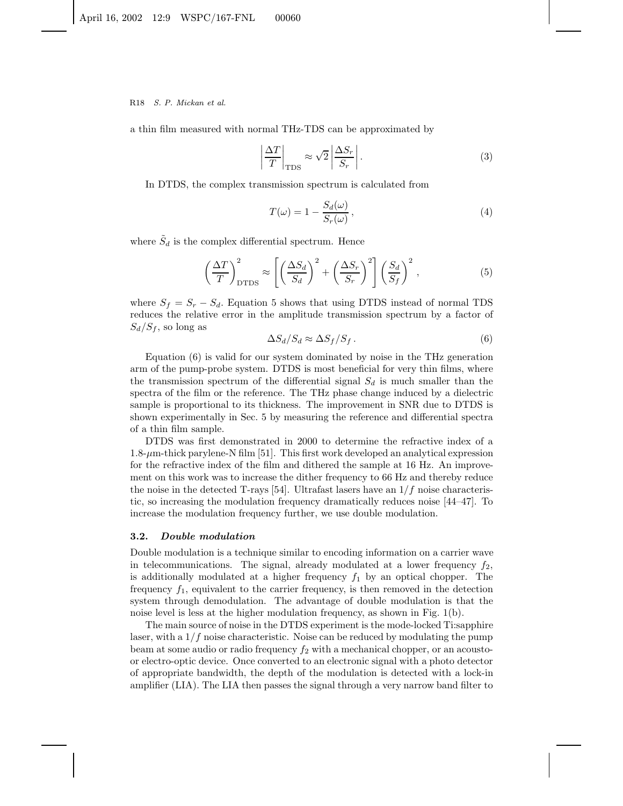a thin film measured with normal THz-TDS can be approximated by

$$
\left|\frac{\Delta T}{T}\right|_{\text{TDS}} \approx \sqrt{2} \left|\frac{\Delta S_r}{S_r}\right|.\tag{3}
$$

In DTDS, the complex transmission spectrum is calculated from

$$
T(\omega) = 1 - \frac{S_d(\omega)}{S_r(\omega)},
$$
\n(4)

where  $\tilde{S}_d$  is the complex differential spectrum. Hence

$$
\left(\frac{\Delta T}{T}\right)_{\text{DTDS}}^2 \approx \left[\left(\frac{\Delta S_d}{S_d}\right)^2 + \left(\frac{\Delta S_r}{S_r}\right)^2\right] \left(\frac{S_d}{S_f}\right)^2,\tag{5}
$$

where  $S_f = S_r - S_d$ . Equation 5 shows that using DTDS instead of normal TDS reduces the relative error in the amplitude transmission spectrum by a factor of  $S_d/S_f$ , so long as

$$
\Delta S_d / S_d \approx \Delta S_f / S_f. \tag{6}
$$

Equation (6) is valid for our system dominated by noise in the THz generation arm of the pump-probe system. DTDS is most beneficial for very thin films, where the transmission spectrum of the differential signal  $S_d$  is much smaller than the spectra of the film or the reference. The THz phase change induced by a dielectric sample is proportional to its thickness. The improvement in SNR due to DTDS is shown experimentally in Sec. 5 by measuring the reference and differential spectra of a thin film sample.

DTDS was first demonstrated in 2000 to determine the refractive index of a  $1.8-\mu$ m-thick parylene-N film [51]. This first work developed an analytical expression for the refractive index of the film and dithered the sample at 16 Hz. An improvement on this work was to increase the dither frequency to 66 Hz and thereby reduce the noise in the detected T-rays [54]. Ultrafast lasers have an  $1/f$  noise characteristic, so increasing the modulation frequency dramatically reduces noise [44–47]. To increase the modulation frequency further, we use double modulation.

#### **3.2.** *Double modulation*

Double modulation is a technique similar to encoding information on a carrier wave in telecommunications. The signal, already modulated at a lower frequency  $f_2$ , is additionally modulated at a higher frequency  $f_1$  by an optical chopper. The frequency  $f_1$ , equivalent to the carrier frequency, is then removed in the detection system through demodulation. The advantage of double modulation is that the noise level is less at the higher modulation frequency, as shown in Fig. 1(b).

The main source of noise in the DTDS experiment is the mode-locked Ti:sapphire laser, with a  $1/f$  noise characteristic. Noise can be reduced by modulating the pump beam at some audio or radio frequency  $f_2$  with a mechanical chopper, or an acoustoor electro-optic device. Once converted to an electronic signal with a photo detector of appropriate bandwidth, the depth of the modulation is detected with a lock-in amplifier (LIA). The LIA then passes the signal through a very narrow band filter to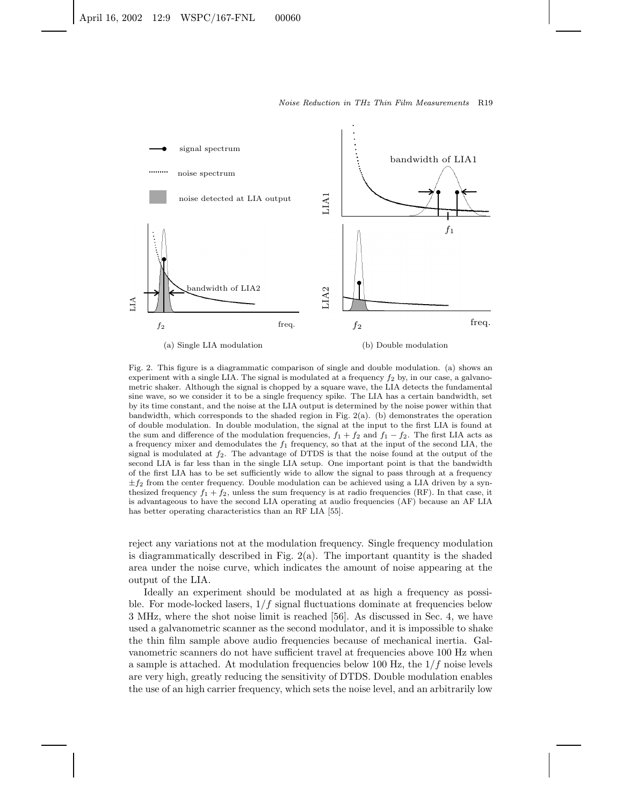

Fig. 2. This figure is a diagrammatic comparison of single and double modulation. (a) shows an experiment with a single LIA. The signal is modulated at a frequency  $f_2$  by, in our case, a galvanometric shaker. Although the signal is chopped by a square wave, the LIA detects the fundamental sine wave, so we consider it to be a single frequency spike. The LIA has a certain bandwidth, set by its time constant, and the noise at the LIA output is determined by the noise power within that bandwidth, which corresponds to the shaded region in Fig.  $2(a)$ . (b) demonstrates the operation of double modulation. In double modulation, the signal at the input to the first LIA is found at the sum and difference of the modulation frequencies,  $f_1 + f_2$  and  $f_1 - f_2$ . The first LIA acts as a frequency mixer and demodulates the  $f_1$  frequency, so that at the input of the second LIA, the signal is modulated at  $f_2$ . The advantage of DTDS is that the noise found at the output of the second LIA is far less than in the single LIA setup. One important point is that the bandwidth of the first LIA has to be set sufficiently wide to allow the signal to pass through at a frequency  $\pm f_2$  from the center frequency. Double modulation can be achieved using a LIA driven by a synthesized frequency  $f_1 + f_2$ , unless the sum frequency is at radio frequencies (RF). In that case, it is advantageous to have the second LIA operating at audio frequencies (AF) because an AF LIA has better operating characteristics than an RF LIA [55].

reject any variations not at the modulation frequency. Single frequency modulation is diagrammatically described in Fig.  $2(a)$ . The important quantity is the shaded area under the noise curve, which indicates the amount of noise appearing at the output of the LIA.

Ideally an experiment should be modulated at as high a frequency as possible. For mode-locked lasers,  $1/f$  signal fluctuations dominate at frequencies below 3 MHz, where the shot noise limit is reached [56]. As discussed in Sec. 4, we have used a galvanometric scanner as the second modulator, and it is impossible to shake the thin film sample above audio frequencies because of mechanical inertia. Galvanometric scanners do not have sufficient travel at frequencies above 100 Hz when a sample is attached. At modulation frequencies below 100 Hz, the  $1/f$  noise levels are very high, greatly reducing the sensitivity of DTDS. Double modulation enables the use of an high carrier frequency, which sets the noise level, and an arbitrarily low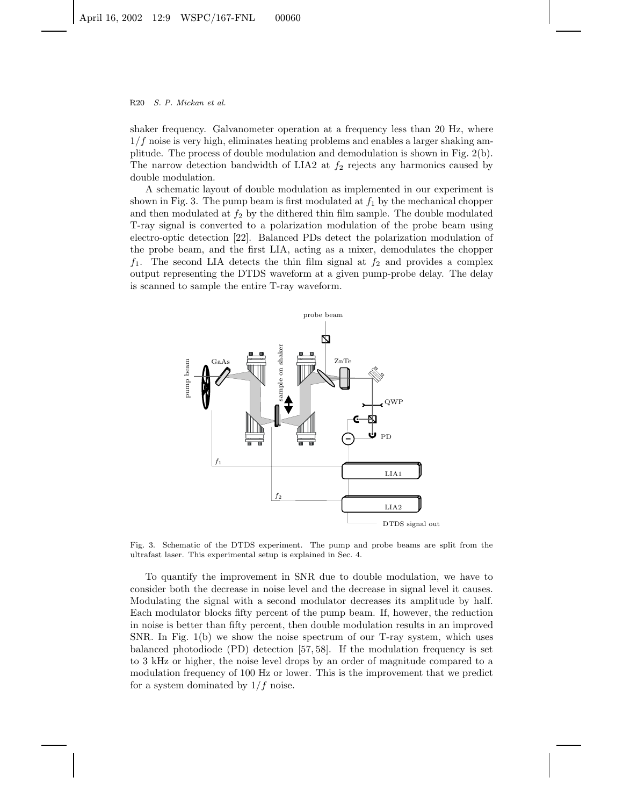shaker frequency. Galvanometer operation at a frequency less than 20 Hz, where  $1/f$  noise is very high, eliminates heating problems and enables a larger shaking amplitude. The process of double modulation and demodulation is shown in Fig. 2(b). The narrow detection bandwidth of LIA2 at  $f_2$  rejects any harmonics caused by double modulation.

A schematic layout of double modulation as implemented in our experiment is shown in Fig. 3. The pump beam is first modulated at  $f_1$  by the mechanical chopper and then modulated at  $f_2$  by the dithered thin film sample. The double modulated T-ray signal is converted to a polarization modulation of the probe beam using electro-optic detection [22]. Balanced PDs detect the polarization modulation of the probe beam, and the first LIA, acting as a mixer, demodulates the chopper  $f_1$ . The second LIA detects the thin film signal at  $f_2$  and provides a complex output representing the DTDS waveform at a given pump-probe delay. The delay is scanned to sample the entire T-ray waveform.



Fig. 3. Schematic of the DTDS experiment. The pump and probe beams are split from the ultrafast laser. This experimental setup is explained in Sec. 4.

To quantify the improvement in SNR due to double modulation, we have to consider both the decrease in noise level and the decrease in signal level it causes. Modulating the signal with a second modulator decreases its amplitude by half. Each modulator blocks fifty percent of the pump beam. If, however, the reduction in noise is better than fifty percent, then double modulation results in an improved SNR. In Fig. 1(b) we show the noise spectrum of our T-ray system, which uses balanced photodiode (PD) detection [57, 58]. If the modulation frequency is set to 3 kHz or higher, the noise level drops by an order of magnitude compared to a modulation frequency of 100 Hz or lower. This is the improvement that we predict for a system dominated by  $1/f$  noise.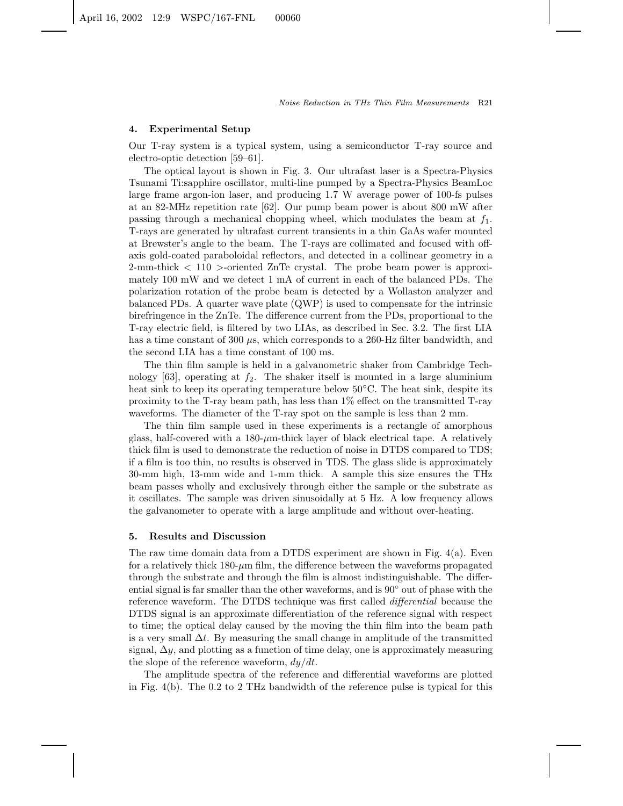#### **4. Experimental Setup**

Our T-ray system is a typical system, using a semiconductor T-ray source and electro-optic detection [59–61].

The optical layout is shown in Fig. 3. Our ultrafast laser is a Spectra-Physics Tsunami Ti:sapphire oscillator, multi-line pumped by a Spectra-Physics BeamLoc large frame argon-ion laser, and producing 1.7 W average power of 100-fs pulses at an 82-MHz repetition rate [62]. Our pump beam power is about 800 mW after passing through a mechanical chopping wheel, which modulates the beam at  $f_1$ . T-rays are generated by ultrafast current transients in a thin GaAs wafer mounted at Brewster's angle to the beam. The T-rays are collimated and focused with offaxis gold-coated paraboloidal reflectors, and detected in a collinear geometry in a 2-mm-thick < 110 >-oriented ZnTe crystal. The probe beam power is approximately 100 mW and we detect 1 mA of current in each of the balanced PDs. The polarization rotation of the probe beam is detected by a Wollaston analyzer and balanced PDs. A quarter wave plate (QWP) is used to compensate for the intrinsic birefringence in the ZnTe. The difference current from the PDs, proportional to the T-ray electric field, is filtered by two LIAs, as described in Sec. 3.2. The first LIA has a time constant of 300  $\mu$ s, which corresponds to a 260-Hz filter bandwidth, and the second LIA has a time constant of 100 ms.

The thin film sample is held in a galvanometric shaker from Cambridge Technology  $[63]$ , operating at  $f_2$ . The shaker itself is mounted in a large aluminium heat sink to keep its operating temperature below 50◦C. The heat sink, despite its proximity to the T-ray beam path, has less than 1% effect on the transmitted T-ray waveforms. The diameter of the T-ray spot on the sample is less than 2 mm.

The thin film sample used in these experiments is a rectangle of amorphous glass, half-covered with a  $180$ - $\mu$ m-thick layer of black electrical tape. A relatively thick film is used to demonstrate the reduction of noise in DTDS compared to TDS; if a film is too thin, no results is observed in TDS. The glass slide is approximately 30-mm high, 13-mm wide and 1-mm thick. A sample this size ensures the THz beam passes wholly and exclusively through either the sample or the substrate as it oscillates. The sample was driven sinusoidally at 5 Hz. A low frequency allows the galvanometer to operate with a large amplitude and without over-heating.

#### **5. Results and Discussion**

The raw time domain data from a DTDS experiment are shown in Fig. 4(a). Even for a relatively thick 180-µm film, the difference between the waveforms propagated through the substrate and through the film is almost indistinguishable. The differential signal is far smaller than the other waveforms, and is  $90°$  out of phase with the reference waveform. The DTDS technique was first called *differential* because the DTDS signal is an approximate differentiation of the reference signal with respect to time; the optical delay caused by the moving the thin film into the beam path is a very small  $\Delta t$ . By measuring the small change in amplitude of the transmitted signal,  $\Delta y$ , and plotting as a function of time delay, one is approximately measuring the slope of the reference waveform,  $dy/dt$ .

The amplitude spectra of the reference and differential waveforms are plotted in Fig. 4(b). The 0.2 to 2 THz bandwidth of the reference pulse is typical for this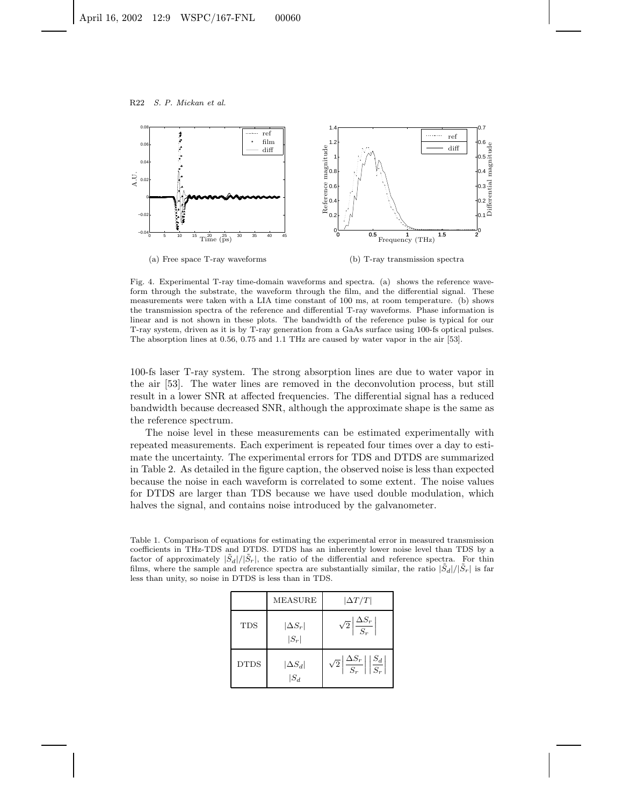

(b) T-ray transmission spectra

Fig. 4. Experimental T-ray time-domain waveforms and spectra. (a) shows the reference waveform through the substrate, the waveform through the film, and the differential signal. These measurements were taken with a LIA time constant of 100 ms, at room temperature. (b) shows the transmission spectra of the reference and differential T-ray waveforms. Phase information is linear and is not shown in these plots. The bandwidth of the reference pulse is typical for our T-ray system, driven as it is by T-ray generation from a GaAs surface using 100-fs optical pulses. The absorption lines at 0.56, 0.75 and 1.1 THz are caused by water vapor in the air [53].

100-fs laser T-ray system. The strong absorption lines are due to water vapor in the air [53]. The water lines are removed in the deconvolution process, but still result in a lower SNR at affected frequencies. The differential signal has a reduced bandwidth because decreased SNR, although the approximate shape is the same as the reference spectrum.

The noise level in these measurements can be estimated experimentally with repeated measurements. Each experiment is repeated four times over a day to estimate the uncertainty. The experimental errors for TDS and DTDS are summarized in Table 2. As detailed in the figure caption, the observed noise is less than expected because the noise in each waveform is correlated to some extent. The noise values for DTDS are larger than TDS because we have used double modulation, which halves the signal, and contains noise introduced by the galvanometer.

Table 1. Comparison of equations for estimating the experimental error in measured transmission coefficients in THz-TDS and DTDS. DTDS has an inherently lower noise level than TDS by a factor of approximately  $|\tilde{S}_d|/|\tilde{S}_r|$ , the ratio of the differential and reference spectra. For thin films, where the sample and reference spectra are substantially similar, the ratio  $|\tilde{S}_d|/|\tilde{S}_r|$  is far less than unity, so noise in DTDS is less than in TDS.

|             | MEASURE                   | $ \Delta T/T $                                                            |
|-------------|---------------------------|---------------------------------------------------------------------------|
| TDS         | $ \Delta S_r $<br>$ S_r $ | $\sqrt{2} \left  \frac{\Delta S_r}{S_r} \right $                          |
| <b>DTDS</b> | $ \Delta S_d $<br>$ S_d $ | $\sqrt{2}\left \frac{\Delta S_r}{S_r}\right \left \frac{S_d}{S_r}\right $ |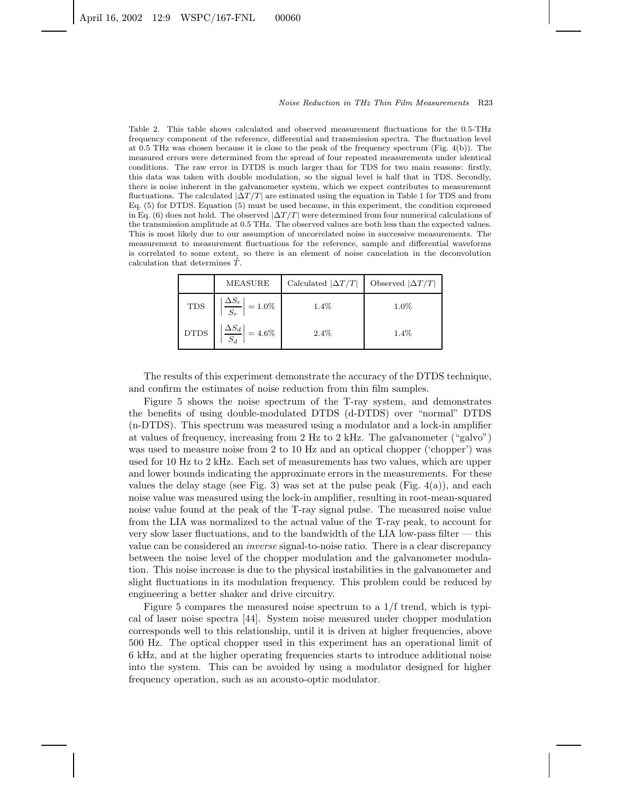Table 2. This table shows calculated and observed measurement fluctuations for the 0.5-THz frequency component of the reference, differential and transmission spectra. The fluctuation level at 0.5 THz was chosen because it is close to the peak of the frequency spectrum (Fig. 4(b)). The measured errors were determined from the spread of four repeated measurements under identical conditions. The raw error in DTDS is much larger than for TDS for two main reasons: firstly, this data was taken with double modulation, so the signal level is half that in TDS. Secondly, there is noise inherent in the galvanometer system, which we expect contributes to measurement fluctuations. The calculated  $|\Delta T/T|$  are estimated using the equation in Table 1 for TDS and from Eq. (5) for DTDS. Equation (5) must be used because, in this experiment, the condition expressed in Eq. (6) does not hold. The observed  $|\Delta T/T|$  were determined from four numerical calculations of the transmission amplitude at 0.5 THz. The observed values are both less than the expected values. This is most likely due to our assumption of uncorrelated noise in successive measurements. The measurement to measurement fluctuations for the reference, sample and differential waveforms is correlated to some extent, so there is an element of noise cancelation in the deconvolution calculation that determines  $\tilde{T}$ .

|             | <b>MEASURE</b>                                            | Calculated $ \Delta T/T $ | Observed $ \Delta T/T $ |
|-------------|-----------------------------------------------------------|---------------------------|-------------------------|
| <b>TDS</b>  | $\left \frac{\Delta S_r}{\Delta}\right  = 1.0\%$<br>$S_r$ | 1.4%                      | $1.0\%$                 |
| <b>DTDS</b> | $\Delta S_d$<br>$=4.6\%$                                  | $2.4\%$                   | $1.4\%$                 |

The results of this experiment demonstrate the accuracy of the DTDS technique, and confirm the estimates of noise reduction from thin film samples.

Figure 5 shows the noise spectrum of the T-ray system, and demonstrates the benefits of using double-modulated DTDS (d-DTDS) over "normal" DTDS (n-DTDS). This spectrum was measured using a modulator and a lock-in amplifier at values of frequency, increasing from 2 Hz to 2 kHz. The galvanometer ("galvo") was used to measure noise from 2 to 10 Hz and an optical chopper ('chopper') was used for 10 Hz to 2 kHz. Each set of measurements has two values, which are upper and lower bounds indicating the approximate errors in the measurements. For these values the delay stage (see Fig. 3) was set at the pulse peak (Fig.  $4(a)$ ), and each noise value was measured using the lock-in amplifier, resulting in root-mean-squared noise value found at the peak of the T-ray signal pulse. The measured noise value from the LIA was normalized to the actual value of the T-ray peak, to account for very slow laser fluctuations, and to the bandwidth of the LIA low-pass filter — this value can be considered an *inverse* signal-to-noise ratio. There is a clear discrepancy between the noise level of the chopper modulation and the galvanometer modulation. This noise increase is due to the physical instabilities in the galvanometer and slight fluctuations in its modulation frequency. This problem could be reduced by engineering a better shaker and drive circuitry.

Figure 5 compares the measured noise spectrum to a 1/f trend, which is typical of laser noise spectra [44]. System noise measured under chopper modulation corresponds well to this relationship, until it is driven at higher frequencies, above 500 Hz. The optical chopper used in this experiment has an operational limit of 6 kHz, and at the higher operating frequencies starts to introduce additional noise into the system. This can be avoided by using a modulator designed for higher frequency operation, such as an acousto-optic modulator.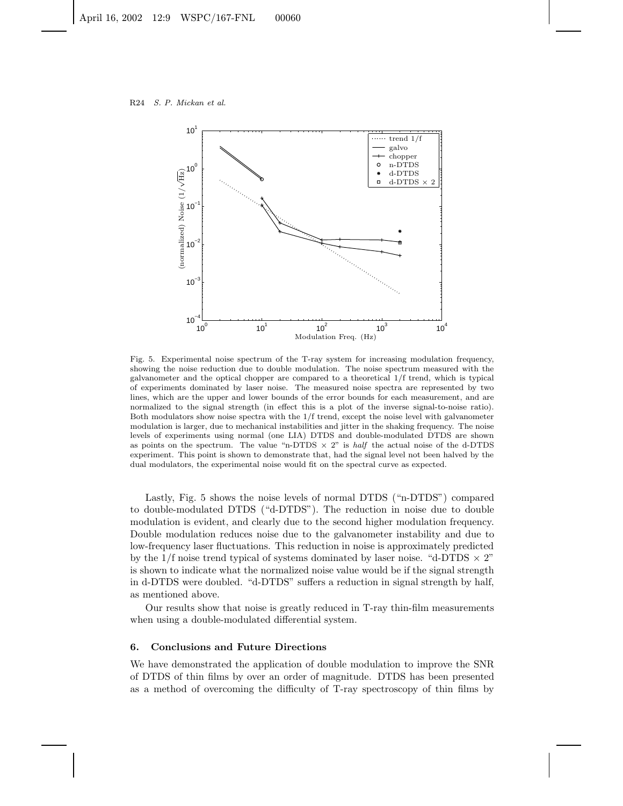

Fig. 5. Experimental noise spectrum of the T-ray system for increasing modulation frequency, showing the noise reduction due to double modulation. The noise spectrum measured with the galvanometer and the optical chopper are compared to a theoretical 1/f trend, which is typical of experiments dominated by laser noise. The measured noise spectra are represented by two lines, which are the upper and lower bounds of the error bounds for each measurement, and are normalized to the signal strength (in effect this is a plot of the inverse signal-to-noise ratio). Both modulators show noise spectra with the 1/f trend, except the noise level with galvanometer modulation is larger, due to mechanical instabilities and jitter in the shaking frequency. The noise levels of experiments using normal (one LIA) DTDS and double-modulated DTDS are shown as points on the spectrum. The value "n-DTDS  $\times$  2" is half the actual noise of the d-DTDS experiment. This point is shown to demonstrate that, had the signal level not been halved by the dual modulators, the experimental noise would fit on the spectral curve as expected.

Lastly, Fig. 5 shows the noise levels of normal DTDS ("n-DTDS") compared to double-modulated DTDS ("d-DTDS"). The reduction in noise due to double modulation is evident, and clearly due to the second higher modulation frequency. Double modulation reduces noise due to the galvanometer instability and due to low-frequency laser fluctuations. This reduction in noise is approximately predicted by the  $1/f$  noise trend typical of systems dominated by laser noise. "d-DTDS  $\times$  2" is shown to indicate what the normalized noise value would be if the signal strength in d-DTDS were doubled. "d-DTDS" suffers a reduction in signal strength by half, as mentioned above.

Our results show that noise is greatly reduced in T-ray thin-film measurements when using a double-modulated differential system.

# **6. Conclusions and Future Directions**

We have demonstrated the application of double modulation to improve the SNR of DTDS of thin films by over an order of magnitude. DTDS has been presented as a method of overcoming the difficulty of T-ray spectroscopy of thin films by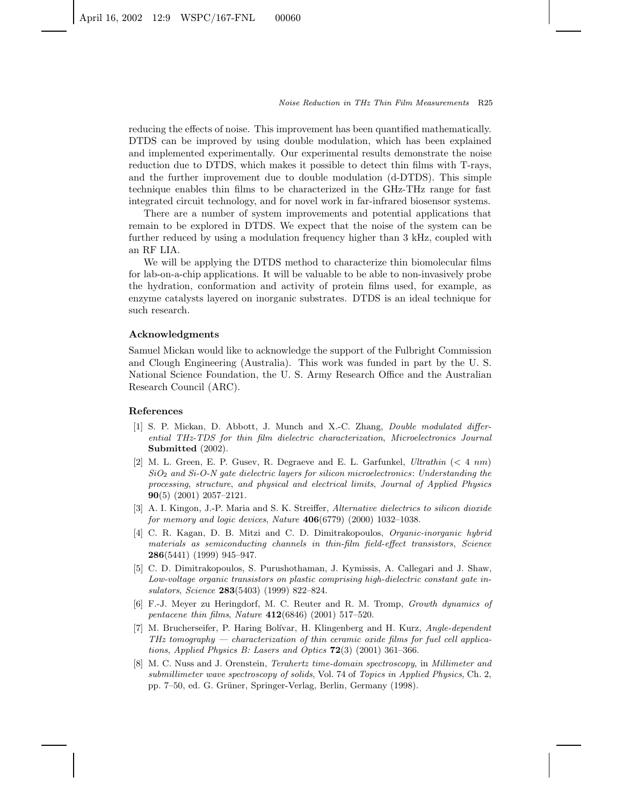reducing the effects of noise. This improvement has been quantified mathematically. DTDS can be improved by using double modulation, which has been explained and implemented experimentally. Our experimental results demonstrate the noise reduction due to DTDS, which makes it possible to detect thin films with T-rays, and the further improvement due to double modulation (d-DTDS). This simple technique enables thin films to be characterized in the GHz-THz range for fast integrated circuit technology, and for novel work in far-infrared biosensor systems.

There are a number of system improvements and potential applications that remain to be explored in DTDS. We expect that the noise of the system can be further reduced by using a modulation frequency higher than 3 kHz, coupled with an RF LIA.

We will be applying the DTDS method to characterize thin biomolecular films for lab-on-a-chip applications. It will be valuable to be able to non-invasively probe the hydration, conformation and activity of protein films used, for example, as enzyme catalysts layered on inorganic substrates. DTDS is an ideal technique for such research.

### **Acknowledgments**

Samuel Mickan would like to acknowledge the support of the Fulbright Commission and Clough Engineering (Australia). This work was funded in part by the U. S. National Science Foundation, the U. S. Army Research Office and the Australian Research Council (ARC).

#### **References**

- [1] S. P. Mickan, D. Abbott, J. Munch and X.-C. Zhang, Double modulated differential THz-TDS for thin film dielectric characterization, Microelectronics Journal **Submitted** (2002).
- [2] M. L . Green, E. P. Gusev, R. Degraeve and E. L . Garfunkel, Ultrathin (< 4 nm)  $SiO<sub>2</sub>$  and  $Si-O-N$  gate dielectric layers for silicon microelectronics: Understanding the processing, structure, and physical and electrical limits, Journal of Applied Physics **90**(5) (2001) 2057–2121.
- [3] A. I. Kingon, J.-P. Maria and S. K. Streiffer, Alternative dielectrics to silicon dioxide for memory and logic devices, Nature **406**(6779) (2000) 1032–1038.
- [4] C. R. Kagan, D. B. Mitzi and C. D. Dimitrakopoulos, Organic-inorganic hybrid materials as semiconducting channels in thin-film field-effect transistors, Science **286**(5441) (1999) 945–947.
- [5] C. D. Dimitrakopoulos, S. Purushothaman, J. Kymissis, A. Callegari and J. Shaw, Low-voltage organic transistors on plastic comprising high-dielectric constant gate insulators, Science **283**(5403) (1999) 822–824.
- [6] F.-J. Meyer zu Heringdorf, M. C. Reuter and R. M. Tromp, Growth dynamics of pentacene thin films, Nature **412**(6846) (2001) 517–520.
- [7] M. Brucherseifer, P. Haring Bolívar, H. Klingenberg and H. Kurz, Angle-dependent  $THz$  tomography  $-$  characterization of thin ceramic oxide films for fuel cell applications, Applied Physics B: Lasers and Optics **72**(3) (2001) 361–366.
- [8] M. C. Nuss and J. Orenstein, *Terahertz time-domain spectroscopy*, in *Millimeter and* submillimeter wave spectroscopy of solids, Vol. 74 of Topics in Applied Physics, Ch. 2, pp. 7–50, ed. G. Grüner, Springer-Verlag, Berlin, Germany (1998).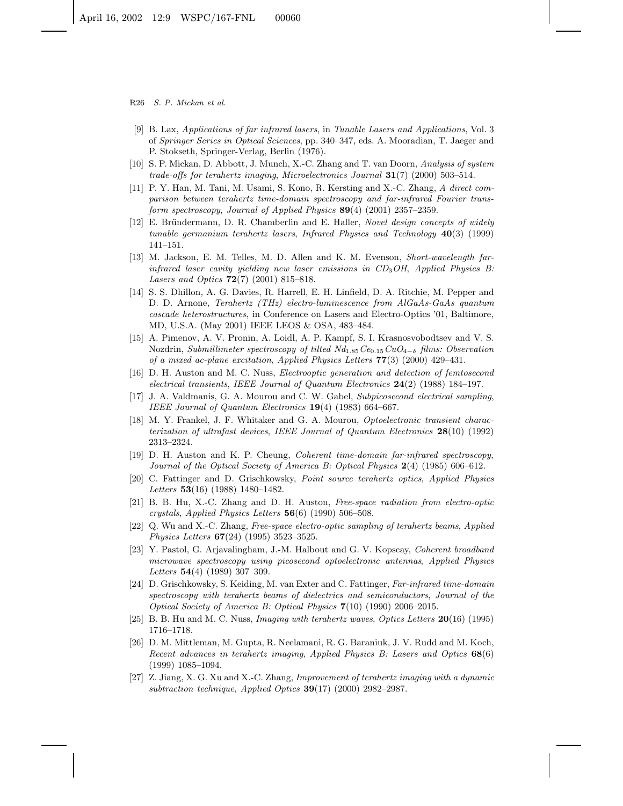- R26 S. P. Mickan et al.
- [9] B. Lax, Applications of far infrared lasers, in Tunable Lasers and Applications, Vol. 3 of Springer Series in Optical Sciences, pp. 340–347, eds. A. Mooradian, T. Jaeger and P. Stokseth, Springer-Verlag, Berlin (1976).
- [10] S. P. Mickan, D. Abbott, J. Munch, X.-C. Zhang and T. van Doorn, Analysis of system trade-offs for terahertz imaging, Microelectronics Journal **31**(7) (2000) 503–514.
- [11] P. Y. Han, M. Tani, M. Usami, S. Kono, R. Kersting and X.-C. Zhang, A direct comparison between terahertz time-domain spectroscopy and far-infrared Fourier transform spectroscopy, Journal of Applied Physics **89**(4) (2001) 2357–2359.
- [12] E. Bründermann, D. R. Chamberlin and E. Haller, Novel design concepts of widely tunable germanium terahertz lasers, Infrared Physics and Technology **40**(3) (1999) 141–151.
- [13] M. Jackson, E. M. Telles, M. D. Allen and K. M. Evenson, Short-wavelength farinfrared laser cavity yielding new laser emissions in  $CD<sub>3</sub>OH$ , Applied Physics B: Lasers and Optics **72**(7) (2001) 815–818.
- [14] S. S. Dhillon, A. G. Davies, R. Harrell, E. H. Linfield, D. A. Ritchie, M. Pepper and D. D. Arnone, Terahertz (THz) electro-luminescence from AlGaAs-GaAs quantum cascade heterostructures, in Conference on Lasers and Electro-Optics '01, Baltimore, MD, U.S.A. (May 2001) IEEE LEOS & OSA, 483–484.
- [15] A. Pimenov, A. V. Pronin, A. Loidl, A. P. Kampf, S. I. Krasnosvobodtsev and V. S. Nozdrin, Submillimeter spectroscopy of tilted  $Nd_{1.85}Ce_{0.15}CuO_{4-\delta}$  films: Observation of a mixed ac-plane excitation, Applied Physics Letters **77**(3) (2000) 429–431.
- [16] D. H. Auston and M. C. Nuss, Electrooptic generation and detection of femtosecond electrical transients, IEEE Journal of Quantum Electronics **24**(2) (1988) 184–197.
- [17] J. A. Valdmanis, G. A. Mourou and C. W. Gabel, Subpicosecond electrical sampling, IEEE Journal of Quantum Electronics **19**(4) (1983) 664–667.
- [18] M. Y. Frankel, J. F. Whitaker and G. A. Mourou, Optoelectronic transient characterization of ultrafast devices, IEEE Journal of Quantum Electronics **28**(10) (1992) 2313–2324.
- [19] D. H. Auston and K. P. Cheung, Coherent time-domain far-infrared spectroscopy, Journal of the Optical Society of America B: Optical Physics **2**(4) (1985) 606–612.
- [20] C. Fattinger and D. Grischkowsky, Point source terahertz optics, Applied Physics Letters **53**(16) (1988) 1480–1482.
- [21] B. B. Hu, X.-C. Zhang and D. H. Auston, Free-space radiation from electro-optic crystals, Applied Physics Letters **56**(6) (1990) 506–508.
- [22] Q. Wu and X.-C. Zhang, Free-space electro-optic sampling of terahertz beams, Applied Physics Letters **67**(24) (1995) 3523–3525.
- [23] Y. Pastol, G. Arjavalingham, J.-M. Halbout and G. V. Kopscay, Coherent broadband microwave spectroscopy using picosecond optoelectronic antennas, Applied Physics Letters **54**(4) (1989) 307–309.
- [24] D. Grischkowsky, S. Keiding, M. van Exter and C. Fattinger, Far-infrared time-domain spectroscopy with terahertz beams of dielectrics and semiconductors, Journal of the Optical Society of America B: Optical Physics **7**(10) (1990) 2006–2015.
- [25] B. B. Hu and M. C. Nuss, Imaging with terahertz waves, Optics Letters **20**(16) (1995) 1716–1718.
- [26] D. M. Mittleman, M. Gupta, R. Neelamani, R. G. Baraniuk, J. V. Rudd and M. Koch, Recent advances in terahertz imaging, Applied Physics B: Lasers and Optics **68**(6) (1999) 1085–1094.
- [27] Z. Jiang, X. G. Xu and X.-C. Zhang, Improvement of terahertz imaging with a dynamic subtraction technique, Applied Optics **39**(17) (2000) 2982–2987.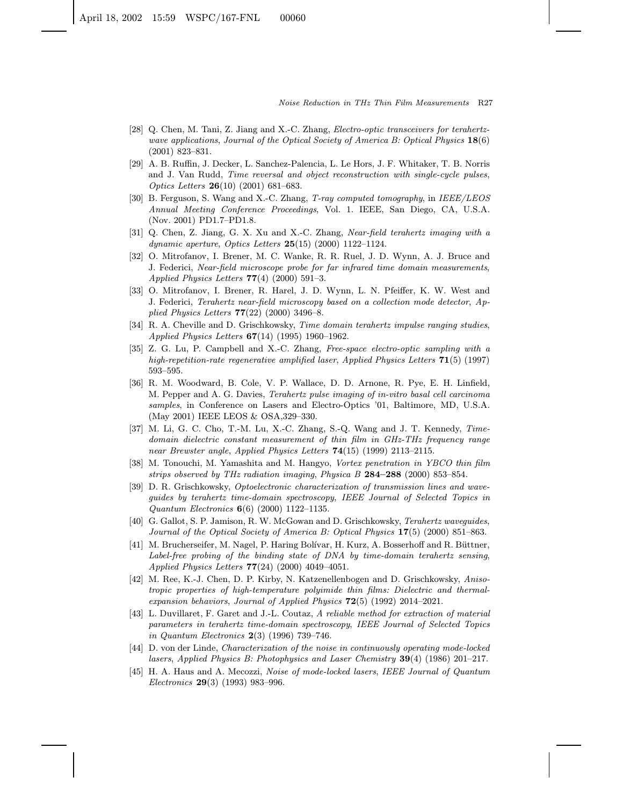- [28] Q. Chen, M. Tani, Z. Jiang and X.-C. Zhang, Electro-optic transceivers for terahertzwave applications, Journal of the Optical Society of America B: Optical Physics 18(6) (2001) 823–831.
- [29] A. B. Ruffin, J. Decker, L. Sanchez-Palencia, L. Le Hors, J. F. Whitaker, T. B. Norris and J. Van Rudd, Time reversal and object reconstruction with single-cycle pulses, Optics Letters 26(10) (2001) 681–683.
- [30] B. Ferguson, S. Wang and X.-C. Zhang, T-ray computed tomography, in IEEE/LEOS Annual Meeting Conference Proceedings, Vol. 1. IEEE, San Diego, CA, U.S.A. (Nov. 2001) PD1.7–PD1.8.
- [31] Q. Chen, Z. Jiang, G. X. Xu and X.-C. Zhang, Near-field terahertz imaging with a dynamic aperture, Optics Letters  $25(15)$  (2000) 1122-1124.
- [32] O. Mitrofanov, I. Brener, M. C. Wanke, R. R. Ruel, J. D. Wynn, A. J. Bruce and J. Federici, Near-field microscope probe for far infrared time domain measurements, Applied Physics Letters  $77(4)$  (2000) 591-3.
- [33] O. Mitrofanov, I. Brener, R. Harel, J. D. Wynn, L. N. Pfeiffer, K. W. West and J. Federici, Terahertz near-field microscopy based on a collection mode detector, Applied Physics Letters 77(22) (2000) 3496–8.
- [34] R. A. Cheville and D. Grischkowsky, Time domain terahertz impulse ranging studies, Applied Physics Letters 67(14) (1995) 1960–1962.
- [35] Z. G. Lu, P. Campbell and X.-C. Zhang, Free-space electro-optic sampling with a high-repetition-rate regenerative amplified laser, Applied Physics Letters 71(5) (1997) 593–595.
- [36] R. M. Woodward, B. Cole, V. P. Wallace, D. D. Arnone, R. Pye, E. H. Linfield, M. Pepper and A. G. Davies, Terahertz pulse imaging of in-vitro basal cell carcinoma samples, in Conference on Lasers and Electro-Optics '01, Baltimore, MD, U.S.A. (May 2001) IEEE LEOS & OSA,329–330.
- [37] M. Li, G. C. Cho, T.-M. Lu, X.-C. Zhang, S.-Q. Wang and J. T. Kennedy, Timedomain dielectric constant measurement of thin film in GHz-THz frequency range near Brewster angle, Applied Physics Letters 74(15) (1999) 2113–2115.
- [38] M. Tonouchi, M. Yamashita and M. Hangyo, Vortex penetration in YBCO thin film strips observed by THz radiation imaging, Physica B 284–288 (2000) 853–854.
- [39] D. R. Grischkowsky, Optoelectronic characterization of transmission lines and waveguides by terahertz time-domain spectroscopy, IEEE Journal of Selected Topics in Quantum Electronics 6(6) (2000) 1122–1135.
- [40] G. Gallot, S. P. Jamison, R. W. McGowan and D. Grischkowsky, Terahertz waveguides, Journal of the Optical Society of America B: Optical Physics 17(5) (2000) 851–863.
- [41] M. Brucherseifer, M. Nagel, P. Haring Bolívar, H. Kurz, A. Bosserhoff and R. Büttner, Label-free probing of the binding state of DNA by time-domain terahertz sensing, Applied Physics Letters 77(24) (2000) 4049–4051.
- [42] M. Ree, K.-J. Chen, D. P. Kirby, N. Katzenellenbogen and D. Grischkowsky, Anisotropic properties of high-temperature polyimide thin films: Dielectric and thermalexpansion behaviors, Journal of Applied Physics  $72(5)$  (1992) 2014–2021.
- [43] L. Duvillaret, F. Garet and J.-L. Coutaz, A reliable method for extraction of material parameters in terahertz time-domain spectroscopy, IEEE Journal of Selected Topics in Quantum Electronics 2(3) (1996) 739–746.
- [44] D. von der Linde, Characterization of the noise in continuously operating mode-locked lasers, Applied Physics B: Photophysics and Laser Chemistry 39(4) (1986) 201–217.
- [45] H. A. Haus and A. Mecozzi, Noise of mode-locked lasers, IEEE Journal of Quantum Electronics 29(3) (1993) 983–996.